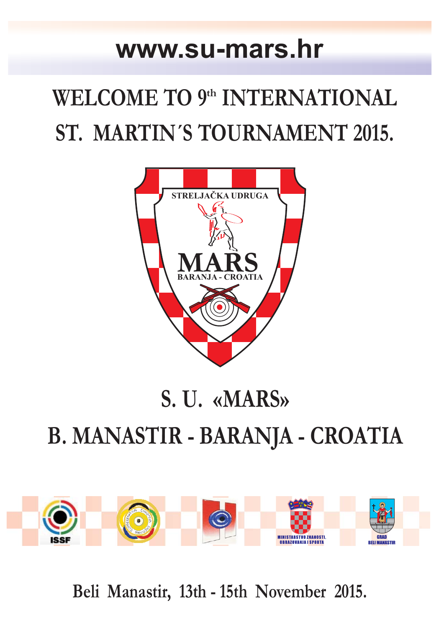### **www.su-mars.hr**

# **WELCOME TO 9th INTERNATIONAL ST. MARTIN´S TOURNAMENT 2015.**



## **S. U. «MARS» B. MANASTIR - BARANJA - CROATIA**



**Beli Manastir, 13th - 15th November 2015.**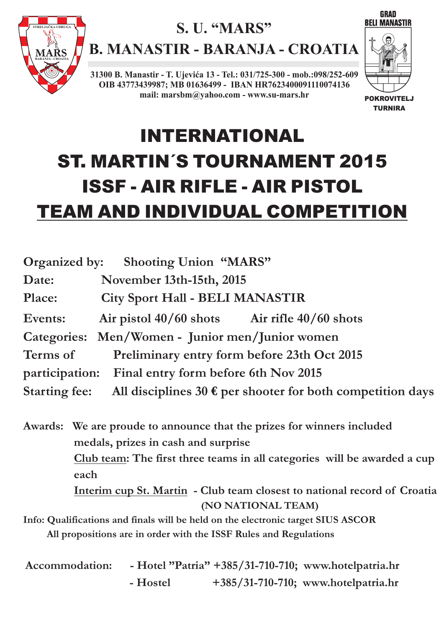

### **S. U. "MARS"**

**B. MANASTIR - BARANJA - CROATIA**

**31300 B. Manastir - T. Ujevića 13 - Tel.: 031/725-300 - mob.:098/252-609 OIB 43773439987; MB 01636499 - IBAN HR7623400091110074136 mail: marsbm@yahoo.com - www.su-mars.hr**



## INTERNATIONAL ST. MARTIN´S TOURNAMENT 2015 ISSF - AIR RIFLE - AIR PISTOL TEAM AND INDIVIDUAL COMPETITION

| <b>Organized by:</b>                                                                        | <b>Shooting Union "MARS"</b>                                             |  |  |
|---------------------------------------------------------------------------------------------|--------------------------------------------------------------------------|--|--|
| Date:                                                                                       | November 13th-15th, 2015                                                 |  |  |
| Place:                                                                                      | <b>City Sport Hall - BELI MANASTIR</b>                                   |  |  |
| Events:                                                                                     | Air pistol $40/60$ shots Air rifle $40/60$ shots                         |  |  |
|                                                                                             | Categories: Men/Women - Junior men/Junior women                          |  |  |
| Terms of<br>Preliminary entry form before 23th Oct 2015                                     |                                                                          |  |  |
|                                                                                             | participation: Final entry form before 6th Nov 2015                      |  |  |
| <b>Starting fee:</b><br>All disciplines 30 $\epsilon$ per shooter for both competition days |                                                                          |  |  |
|                                                                                             | Awards: We are proude to announce that the prizes for winners included   |  |  |
|                                                                                             | medals, prizes in cash and surprise                                      |  |  |
|                                                                                             | Club team: The first three teams in all categories will be awarded a cup |  |  |
|                                                                                             | each                                                                     |  |  |
|                                                                                             | Interim cup St. Martin - Club team closest to national record of Croatia |  |  |
|                                                                                             | (NO NATIONAL TEAM)                                                       |  |  |

**Info: Qualifications and finals will be held on the electronic target SIUS ASCOR All propositions are in order with the ISSF Rules and Regulations**

| Accommodation: |          | - Hotel "Patria" +385/31-710-710; www.hotelpatria.hr |
|----------------|----------|------------------------------------------------------|
|                | - Hostel | $+385/31-710-710$ ; www.hotelpatria.hr               |